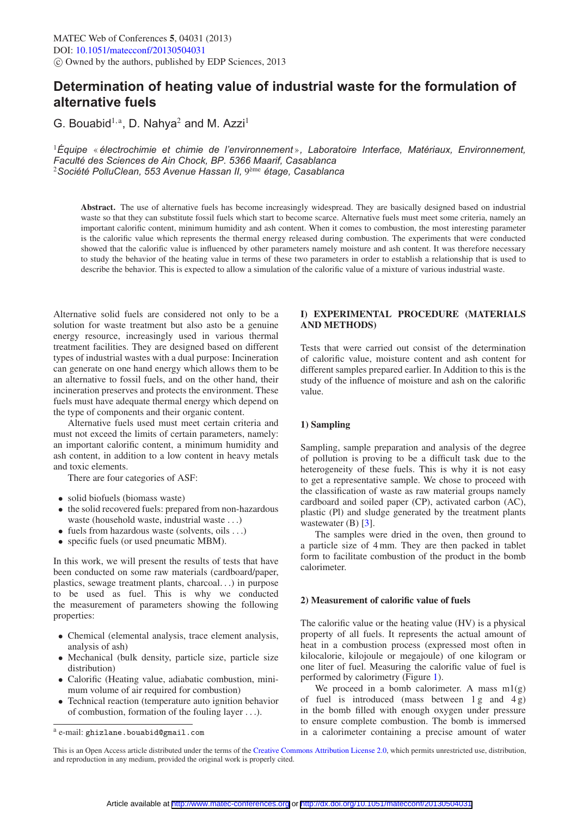# **Determination of heating value of industrial waste for the formulation of alternative fuels**

G. Bouabid<sup>1,a</sup>, D. Nahya<sup>2</sup> and M. Azzi<sup>1</sup>

<sup>1</sup>*Equipe ´* « *electrochimie et chimie de l'environnement ´* »*, Laboratoire Interface, Materiaux, Environnement, ´ Faculte des Sciences de Ain Chock, BP. 5366 Maarif, Casablanca ´* <sup>2</sup> Société PolluClean, 553 Avenue Hassan II, 9<sup>ème</sup> étage, Casablanca

**Abstract.** The use of alternative fuels has become increasingly widespread. They are basically designed based on industrial waste so that they can substitute fossil fuels which start to become scarce. Alternative fuels must meet some criteria, namely an important calorific content, minimum humidity and ash content. When it comes to combustion, the most interesting parameter is the calorific value which represents the thermal energy released during combustion. The experiments that were conducted showed that the calorific value is influenced by other parameters namely moisture and ash content. It was therefore necessary to study the behavior of the heating value in terms of these two parameters in order to establish a relationship that is used to describe the behavior. This is expected to allow a simulation of the calorific value of a mixture of various industrial waste.

Alternative solid fuels are considered not only to be a solution for waste treatment but also asto be a genuine energy resource, increasingly used in various thermal treatment facilities. They are designed based on different types of industrial wastes with a dual purpose: Incineration can generate on one hand energy which allows them to be an alternative to fossil fuels, and on the other hand, their incineration preserves and protects the environment. These fuels must have adequate thermal energy which depend on the type of components and their organic content.

Alternative fuels used must meet certain criteria and must not exceed the limits of certain parameters, namely: an important calorific content, a minimum humidity and ash content, in addition to a low content in heavy metals and toxic elements.

There are four categories of ASF:

- solid biofuels (biomass waste)
- the solid recovered fuels: prepared from non-hazardous waste (household waste, industrial waste ...)
- fuels from hazardous waste (solvents, oils ...)
- specific fuels (or used pneumatic MBM).

In this work, we will present the results of tests that have been conducted on some raw materials (cardboard/paper, plastics, sewage treatment plants, charcoal...) in purpose to be used as fuel. This is why we conducted the measurement of parameters showing the following properties:

- Chemical (elemental analysis, trace element analysis, analysis of ash)
- Mechanical (bulk density, particle size, particle size distribution)
- Calorific (Heating value, adiabatic combustion, minimum volume of air required for combustion)
- Technical reaction (temperature auto ignition behavior of combustion, formation of the fouling layer ...).

## **I) EXPERIMENTAL PROCEDURE (MATERIALS AND METHODS)**

Tests that were carried out consist of the determination of calorific value, moisture content and ash content for different samples prepared earlier. In Addition to this is the study of the influence of moisture and ash on the calorific value.

## **1) Sampling**

Sampling, sample preparation and analysis of the degree of pollution is proving to be a difficult task due to the heterogeneity of these fuels. This is why it is not easy to get a representative sample. We chose to proceed with the classification of waste as raw material groups namely cardboard and soiled paper (CP), activated carbon (AC), plastic (Pl) and sludge generated by the treatment plants wastewater  $(B)$  [\[3\]](#page-3-0).

The samples were dried in the oven, then ground to a particle size of 4 mm. They are then packed in tablet form to facilitate combustion of the product in the bomb calorimeter.

#### **2) Measurement of calorific value of fuels**

The calorific value or the heating value (HV) is a physical property of all fuels. It represents the actual amount of heat in a combustion process (expressed most often in kilocalorie, kilojoule or megajoule) of one kilogram or one liter of fuel. Measuring the calorific value of fuel is performed by calorimetry (Figure [1\)](#page-1-0).

We proceed in a bomb calorimeter. A mass  $m1(g)$ of fuel is introduced (mass between  $1 g$  and  $4 g$ ) in the bomb filled with enough oxygen under pressure to ensure complete combustion. The bomb is immersed in a calorimeter containing a precise amount of water

<sup>a</sup> e-mail: ghizlane.bouabid@gmail.com

This is an Open Access article distributed under the terms of the [Creative Commons Attribution License 2.0,](http://creativecommons.org/licenses/by/2.0/) which permits unrestricted use, distribution, and reproduction in any medium, provided the original work is properly cited.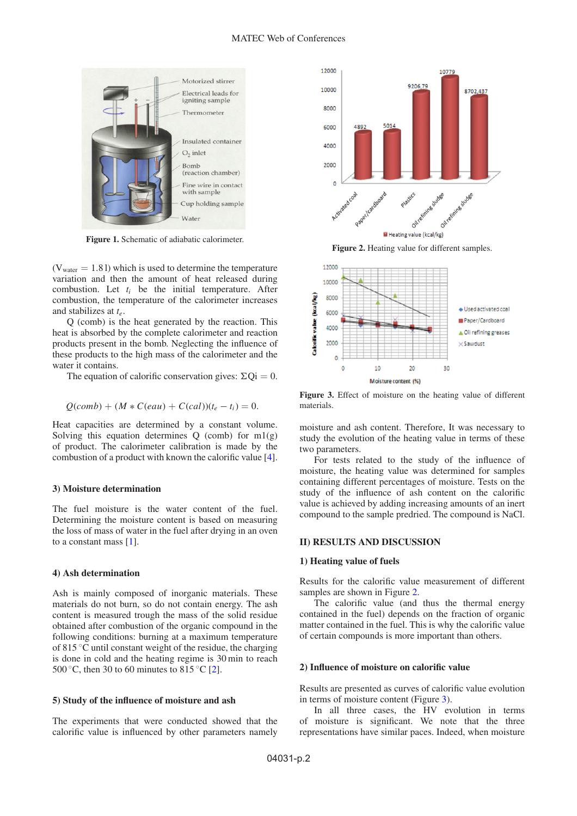<span id="page-1-0"></span>

**Figure 1.** Schematic of adiabatic calorimeter.

 $(V<sub>water</sub> = 1.81)$  which is used to determine the temperature variation and then the amount of heat released during combustion. Let  $t_i$  be the initial temperature. After combustion, the temperature of the calorimeter increases and stabilizes at *te*.

Q (comb) is the heat generated by the reaction. This heat is absorbed by the complete calorimeter and reaction products present in the bomb. Neglecting the influence of these products to the high mass of the calorimeter and the water it contains.

The equation of calorific conservation gives:  $\Sigma Qi = 0$ .

$$
Q(comb) + (M * C(eau) + C(cal))(t_e - t_i) = 0.
$$

Heat capacities are determined by a constant volume. Solving this equation determines  $Q$  (comb) for  $m1(g)$ of product. The calorimeter calibration is made by the combustion of a product with known the calorific value [\[4\]](#page-3-1).

#### **3) Moisture determination**

The fuel moisture is the water content of the fuel. Determining the moisture content is based on measuring the loss of mass of water in the fuel after drying in an oven to a constant mass [\[1\]](#page-3-2).

#### **4) Ash determination**

Ash is mainly composed of inorganic materials. These materials do not burn, so do not contain energy. The ash content is measured trough the mass of the solid residue obtained after combustion of the organic compound in the following conditions: burning at a maximum temperature of 815 ◦C until constant weight of the residue, the charging is done in cold and the heating regime is 30 min to reach 500 °C, then 30 to 60 minutes to 815 °C [\[2](#page-3-3)].

#### **5) Study of the influence of moisture and ash**

The experiments that were conducted showed that the calorific value is influenced by other parameters namely

<span id="page-1-1"></span>

**Figure 2.** Heating value for different samples.

<span id="page-1-2"></span>

**Figure 3.** Effect of moisture on the heating value of different materials.

moisture and ash content. Therefore, It was necessary to study the evolution of the heating value in terms of these two parameters.

For tests related to the study of the influence of moisture, the heating value was determined for samples containing different percentages of moisture. Tests on the study of the influence of ash content on the calorific value is achieved by adding increasing amounts of an inert compound to the sample predried. The compound is NaCl.

## **II) RESULTS AND DISCUSSION**

#### **1) Heating value of fuels**

Results for the calorific value measurement of different samples are shown in Figure [2.](#page-1-1)

The calorific value (and thus the thermal energy contained in the fuel) depends on the fraction of organic matter contained in the fuel. This is why the calorific value of certain compounds is more important than others.

#### **2) Influence of moisture on calorific value**

Results are presented as curves of calorific value evolution in terms of moisture content (Figure [3\)](#page-1-2).

In all three cases, the HV evolution in terms of moisture is significant. We note that the three representations have similar paces. Indeed, when moisture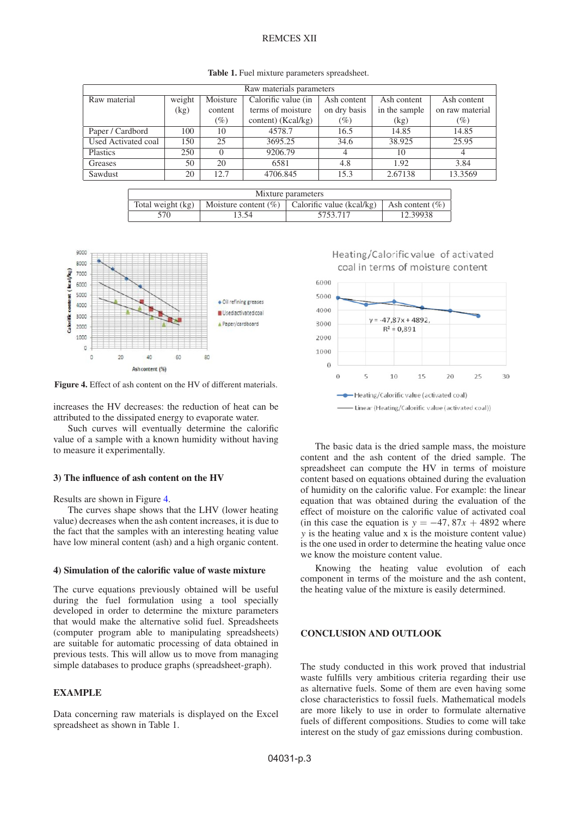## REMCES XII

| Raw materials parameters |        |          |                     |              |               |                 |
|--------------------------|--------|----------|---------------------|--------------|---------------|-----------------|
| Raw material             | weight | Moisture | Calorific value (in | Ash content  | Ash content   | Ash content     |
|                          | (kg)   | content  | terms of moisture   | on dry basis | in the sample | on raw material |
|                          |        | $(\%)$   | content) (Kcal/kg)  | $(\%)$       | (kg)          | $(\%)$          |
| Paper / Cardbord         | 100    | 10       | 4578.7              | 16.5         | 14.85         | 14.85           |
| Used Activated coal      | 150    | 25       | 3695.25             | 34.6         | 38.925        | 25.95           |
| Plastics                 | 250    | $\Omega$ | 9206.79             |              | 10            | 4               |
| Greases                  | 50     | 20       | 6581                | 4.8          | 1.92          | 3.84            |
| Sawdust                  | 20     | 12.7     | 4706.845            | 15.3         | 2.67138       | 13.3569         |

| Mixture parameters |       |                                                     |                     |  |  |  |  |
|--------------------|-------|-----------------------------------------------------|---------------------|--|--|--|--|
| Total weight (kg)  |       | Moisture content $(\%)$   Calorific value (kcal/kg) | Ash content $(\% )$ |  |  |  |  |
| 570                | 13.54 | 5753.717                                            | 12.39938            |  |  |  |  |
|                    |       |                                                     |                     |  |  |  |  |

<span id="page-2-0"></span>

**Figure 4.** Effect of ash content on the HV of different materials.

increases the HV decreases: the reduction of heat can be attributed to the dissipated energy to evaporate water.

Such curves will eventually determine the calorific value of a sample with a known humidity without having to measure it experimentally.

#### **3) The influence of ash content on the HV**

Results are shown in Figure [4.](#page-2-0)

The curves shape shows that the LHV (lower heating value) decreases when the ash content increases, it is due to the fact that the samples with an interesting heating value have low mineral content (ash) and a high organic content.

#### **4) Simulation of the calorific value of waste mixture**

The curve equations previously obtained will be useful during the fuel formulation using a tool specially developed in order to determine the mixture parameters that would make the alternative solid fuel. Spreadsheets (computer program able to manipulating spreadsheets) are suitable for automatic processing of data obtained in previous tests. This will allow us to move from managing simple databases to produce graphs (spreadsheet-graph).

## **EXAMPLE**

Data concerning raw materials is displayed on the Excel spreadsheet as shown in Table 1.





The basic data is the dried sample mass, the moisture content and the ash content of the dried sample. The spreadsheet can compute the HV in terms of moisture content based on equations obtained during the evaluation of humidity on the calorific value. For example: the linear equation that was obtained during the evaluation of the effect of moisture on the calorific value of activated coal (in this case the equation is  $y = -47, 87x + 4892$  where *y* is the heating value and x is the moisture content value) is the one used in order to determine the heating value once we know the moisture content value.

Knowing the heating value evolution of each component in terms of the moisture and the ash content, the heating value of the mixture is easily determined.

## **CONCLUSION AND OUTLOOK**

The study conducted in this work proved that industrial waste fulfills very ambitious criteria regarding their use as alternative fuels. Some of them are even having some close characteristics to fossil fuels. Mathematical models are more likely to use in order to formulate alternative fuels of different compositions. Studies to come will take interest on the study of gaz emissions during combustion.